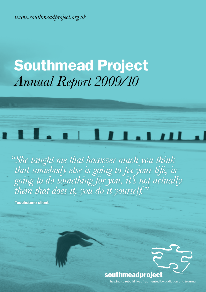*www.southmeadproject.org.uk*

## **Southmead Project** *Annual Report 2009/10*

# 1. 11 11 1.11 11 11

 *"She taught me that however much you think that somebody else is going to fix your life, is going to do something for you, it's not actually them that does it, you do it yourself."*

Touchstone client

COLEFORD ROAD Pen Park Road

## southmeadproject

helping to rebuild lives fragmented by addiction and trauma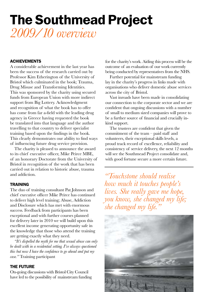## **The Southmead Project** *2009/10 overview*

#### **ACHIEVEMENTS**

A considerable achievement in the last year has been the success of the research carried out by Professor Kim Etherington of the University of Bristol which culminated in the book; Trauma, Drug Misuse and Transforming Identities. This was sponsored by the charity using secured funds from European Union with more indirect support from Big Lottery. Acknowledgment and recognition of what the book has to offer has come from far a-field with the leading drug agency in Greece having requested the book be translated into that language and the author travelling to that country to deliver specialist training based upon the findings in the book. This clearly demonstrates our ability to find ways of influencing future drug service provision.

The charity is pleased to announce the award to its chief executive officer, Mike Peirce MBE, of an honorary Doctorate from the University of Bristol in recognition of the work that has been carried out in relation to historic abuse, trauma and addiction.

#### **TRAINING**

The duo of training consultant Pat Johnson and chief executive officer Mike Peirce has continued to deliver high level training; Abuse, Addiction and Disclosure which has met with enormous success. Feedback from participants has been exceptional and with further courses planned for delivery later in 2010 we will build upon this excellent income generating opportunity safe in the knowledge that those who attend the training are getting exactly what they need.

*"It's dispelled the myth for me that sexual abuse can only be dealt with in a residential setting. I've always questioned this but now I have the confidence to go ahead and put my case."* Training participant

#### the Future

On-going discussions with Bristol City Council have led to the possibility of mainstream funding for the charity's work. Aiding this process will be the outcome of an evaluation of our work currently being conducted by representatives from the NHS.

Further potential for mainstream funding lay in the charity's progress in links made with organisations who deliver domestic abuse services across the city of Bristol.

Vast inroads have been made in consolidating our connection to the corporate sector and we are confident that ongoing discussions with a number of small to medium sized companies will prove to be a further source of financial and crucially inkind support.

The trustees are confident that given the commitment of the team – paid staff and volunteers, their exceptional skills levels, a proud track record of excellence, reliability and consistency of service delivery, the next 12 months will see the Southmead Project consolidate and, with good fortune secure a more certain future.

*"Touchstone should realise how much it touches people's lives. She really gave me hope, you know, she changed my life; she changed my life."*

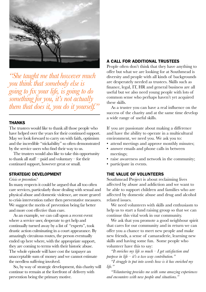

*"She taught me that however much you think that somebody else is going to fix your life, is going to do something for you, it's not actually them that does it, you do it yourself."*

#### **THANKS**

The trustees would like to thank all those people who have helped over the years for their continued support. May we look forward to carry on with faith, optimism and the incredible "stickability" so often demonstrated by the service users who find their way to us.

The trustees would also like to take this opportunity to thank all staff – paid and voluntary – for their continued support, however great or small.

#### strAtegic Development

#### *Crisis or prevention?*

In many respects it could be argued that all too often care services, particularly those dealing with sexual and physical abuse and domestic violence, are more geared to crisis intervention rather then preventative measures. We suggest the merits of prevention being far better and more cost effective than cure.

As an example, we can call upon a recent event where a service user, desperate to get help and continually turned away by a list of "experts", took drastic action culminating in a court appearance. By amazingly circuitous routes, the person eventually ended up here where, with the appropriate support, they are coming to terms with their historic abuse. The whole episode will have cost the taxpayer an unacceptable sum of money and we cannot estimate the needless suffering involved.

So, by way of strategic development, this charity will continue to remain at the forefront of delivery with prevention being the primary motive.

#### A cAll For ADDitionAl trustees

People often don't think that they have anything to offer but what we are looking for at Southmead is diversity and people with all kinds of backgrounds are desperately needed as trustees. Skills such as finance, legal, IT, HR and general business are all useful but we also need young people with lots of common sense who perhaps haven't yet acquired these skills.

As a trustee you can have a real influence on the success of the charity and at the same time develop a wide range of useful skills.

If you are passionate about making a difference and have the ability to operate in a multicultural environment, we need you. We ask you to:

- attend meetings and approve monthly minutes;
- answer emails and phone calls in between meetings;
- raise awareness and network in the community;
- participate in events.

#### the vAlue oF volunteers

Southmead Project is about reclaiming lives affected by abuse and addiction and we want to be able to support children and families who are affected by domestic abuse and drug and alcohol related issues.

We need volunteers with skills and enthusiasm to help us to start a fund raising group so that we can continue this vital work in our community.

We ask that you promote a good neighbour spirit that cares for our community and in return we can offer you a chance to meet new people and make new friends, a sense of camaraderie, learning new skills and having some fun. Some people who volunteer have this to say:

*"It enriches my life so much – I get satisfaction and purpose in life – it's a two way contribution."*

*"I struggle to put into words how is it has enriched my life."*

*"Volunteering provides me with some amazing experiences and encounters with new people and situations."*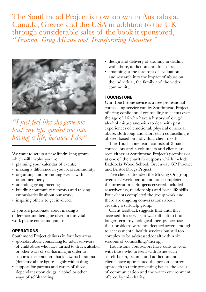The Southmead Project is now known in Australasia, Canada, Greece and the USA in addition to the UK through considerable sales of the book it sponsored, *"Trauma, Drug Misuse and Transforming Identities."*



*"I just feel like she gave me back my life, guided me into having a life, because I do."*

We want to set up a new fundraising group which will involve you in:

- planning your calendar of events;
- making a difference in you local community;
- organising and promoting events with other members;
- attending group meetings;
- building community networks and talking enthusiastically about our work;
- inspiring others to get involved.

If you are passionate about making a difference and being involved in this vital work please come and join us.

#### **OPERATIONS**

Southmead Project delivers in four key areas:

- specialist abuse counselling for adult survivors of child abuse who have turned to drugs, alcohol or other ways of self-harming in order to suppress the emotions that follow such trauma (domestic abuse figures highly within this);
- support for parents and carers of those dependant upon drugs, alcohol or other ways of self-harming;
- design and delivery of training in dealing with abuse, addiction and disclosure;
- emaining at the forefront of evaluation and research into the impact of abuse on the individual, the family and the wider community.

#### **TOUCHSTONE**

Our Touchstone sevice is a free professional counselling service run by Southmead Project offering confidential counselling to clients over the age of 16 who have a history of drug/ alcohol misuse and wish to deal with past experiences of emotional, physical or sexual abuse. Both long and short term counselling is offered based on individual client needs.

The Touchstone team consists of 3 paid counsellors and 3 volunteers and clients are seen either at Southmead Project's premises or at one of the charity's outposts which include Baddocks Wood School, Greenway GP Practice and Bristol Drugs Project.

Five clients attended the Moving On group over a 12-week period and four completed the programme. Subjects covered included assertiveness, relationships and basic life skills. Four clients completed the group work and there are ongoing conversations about creating a self-help group.

Client feedback suggests that until they accessed this service, it was difficult to find longer term psychological therapy because their problems were not deemed severe enough to access mental health services but still too complex to be addressed/dealt within six sessions of counselling/therapy.

Touchstone counsellors have skills to work with those who present with issues such as self-harm, trauma and addiction and clients have appreciated the person-centred approach to their presenting issues, the levels of communication and the warm environment offered by this charity.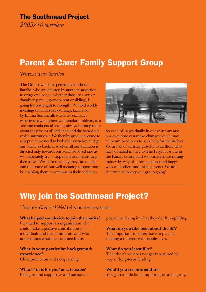#### The Southmead Project

*2009/10 overview*

### Parent & Carer Family Support Group

Words: *Tony Smeeton*

The Group, which is specifically for those in families who are affected by anothers addiction to drugs or alcohol, (whether they are a son or daughter, parent, grandparent or sibling), is going from strength to strength. We hold weekly meetings on Thursday evenings, facilitated by Emma Summerill, where we exchange experiences with others with similar problems, in a safe and confidential setting, always learning more about the process of addiction and the behaviour which surrounds it. We thereby gradually come to accept that we need to look after ourselves and get our own lives back, as so often all our attention is directed only towards our addicted loved one as we desperately try to stop them from destroying themselves. We learn that only they can do this and that some of our well meaning support may be enabling them to continue in their addiction.



So each of us gradually in our own way and our own time can make changes which may help our loved ones to seek help for themselves. We are all of us truly grateful to all those who have donated money to The Project for use in the Family Group and we ourselves are raising money by way of a recent sponsored buggy walk and other fund raising events. We are determined to keep our group going!

### Why join the Southmead Project?

Trustee *Dawn O'Neil* tells us her reasons.

**What helped you decide to join the charity?** I wanted to support an organisation who

could make a positive contribution to individuals and the community and who understands what the local needs are.

**What is your particular background/ experience?** Child protection and safeguarding.

**What's' in it for you' as a trustee?** Being around supportive and passionate people, believing in what they do. It is uplifting.

**What do you like best about the SP?** The important role they have to play in making a difference in peoples lives.

**What do you least like?** That the above does not get recognised by way of long-term funding.

**Would you recommend It?** Yes. Just a little bit of support goes a long way.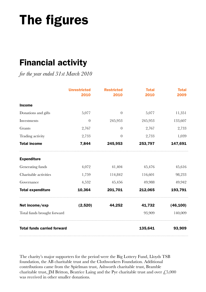## The figures

### Financial activity

*for the year ended 31st March 2010*

|                                    | <b>Unrestricted</b><br>2010 | <b>Restricted</b><br>2010 | <b>Total</b><br>2010 | <b>Total</b><br>2009 |
|------------------------------------|-----------------------------|---------------------------|----------------------|----------------------|
| <b>Income</b>                      |                             |                           |                      |                      |
| Donations and gifts                | 5,077                       | $\overline{0}$            | 5,077                | 11,351               |
| Investments                        | $\theta$                    | 245,953                   | 245,953              | 133,607              |
| Grants                             | 2,767                       | $\overline{0}$            | 2,767                | 2,733                |
| Trading activity                   | 2,733                       | $\Omega$                  | 2,733                | 1,039                |
| <b>Total income</b>                | 7,844                       | 245,953                   | 253,797              | 147,691              |
| <b>Expenditure</b>                 |                             |                           |                      |                      |
| Generating funds                   | 4,072                       | 41,404                    | 45,476               | 45,616               |
| Charitable activities              | 1,759                       | 114,842                   | 116,601              | 98,233               |
| Governance                         | 4,532                       | 45,456                    | 49,988               | 49,942               |
| <b>Total expenditure</b>           | 10,364                      | 201,701                   | 212,065              | 193,791              |
| Net income/exp                     | (2,520)                     | 44,252                    | 41,732               | (46, 100)            |
| Total funds brought forward        |                             |                           | 93,909               | 140,009              |
| <b>Total funds carried forward</b> | 135,641                     | 93,909                    |                      |                      |

The charity's major supporters for the period were the Big Lottery Fund, Lloyds TSB foundation, the AB charitable trust and the Clothworkers Foundation. Additional contributions came from the Spielman trust, Ashworth charitable trust, Bramble charitable trust, JM Britton, Beatrice Laing and the Pye charitable trust and over  $\text{\textsterling}5,000$ was received in other smaller donations.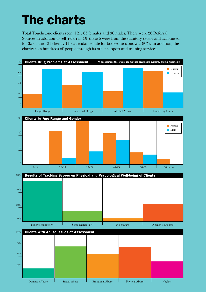## **The charts**

Total Touchstone clients seen: 121, 85 females and 36 males. There were 28 Referral Sources in addition to self referral. Of these 6 were from the statutory sector and accounted for 35 of the 121 clients. The attendance rate for booked sessions was 80%. In addition, the charity sees hundreds of people through its other support and training services.